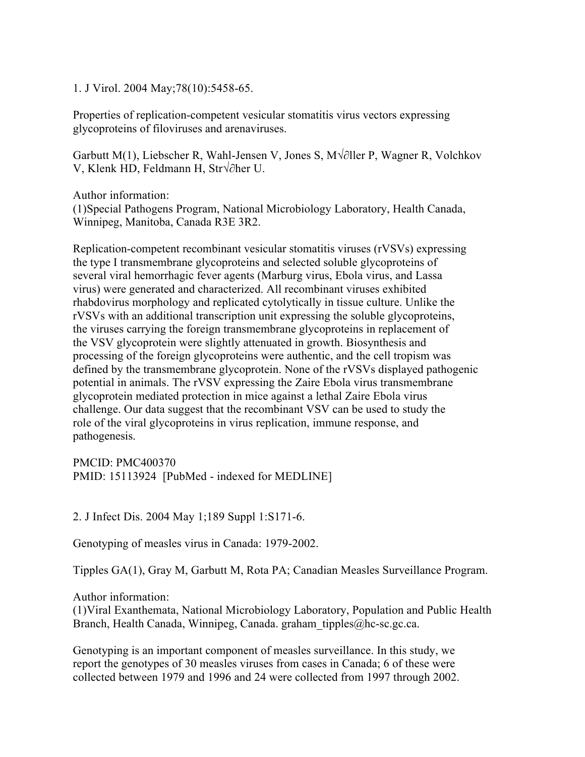1. J Virol. 2004 May;78(10):5458-65.

Properties of replication-competent vesicular stomatitis virus vectors expressing glycoproteins of filoviruses and arenaviruses.

Garbutt M(1), Liebscher R, Wahl-Jensen V, Jones S, M $\sqrt{\partial}$ ller P, Wagner R, Volchkov V, Klenk HD, Feldmann H, Str $\sqrt{\partial}$ her U.

Author information: (1)Special Pathogens Program, National Microbiology Laboratory, Health Canada, Winnipeg, Manitoba, Canada R3E 3R2.

Replication-competent recombinant vesicular stomatitis viruses (rVSVs) expressing the type I transmembrane glycoproteins and selected soluble glycoproteins of several viral hemorrhagic fever agents (Marburg virus, Ebola virus, and Lassa virus) were generated and characterized. All recombinant viruses exhibited rhabdovirus morphology and replicated cytolytically in tissue culture. Unlike the rVSVs with an additional transcription unit expressing the soluble glycoproteins, the viruses carrying the foreign transmembrane glycoproteins in replacement of the VSV glycoprotein were slightly attenuated in growth. Biosynthesis and processing of the foreign glycoproteins were authentic, and the cell tropism was defined by the transmembrane glycoprotein. None of the rVSVs displayed pathogenic potential in animals. The rVSV expressing the Zaire Ebola virus transmembrane glycoprotein mediated protection in mice against a lethal Zaire Ebola virus challenge. Our data suggest that the recombinant VSV can be used to study the role of the viral glycoproteins in virus replication, immune response, and pathogenesis.

PMCID: PMC400370 PMID: 15113924 [PubMed - indexed for MEDLINE]

2. J Infect Dis. 2004 May 1;189 Suppl 1:S171-6.

Genotyping of measles virus in Canada: 1979-2002.

Tipples GA(1), Gray M, Garbutt M, Rota PA; Canadian Measles Surveillance Program.

Author information:

(1)Viral Exanthemata, National Microbiology Laboratory, Population and Public Health Branch, Health Canada, Winnipeg, Canada. graham\_tipples@hc-sc.gc.ca.

Genotyping is an important component of measles surveillance. In this study, we report the genotypes of 30 measles viruses from cases in Canada; 6 of these were collected between 1979 and 1996 and 24 were collected from 1997 through 2002.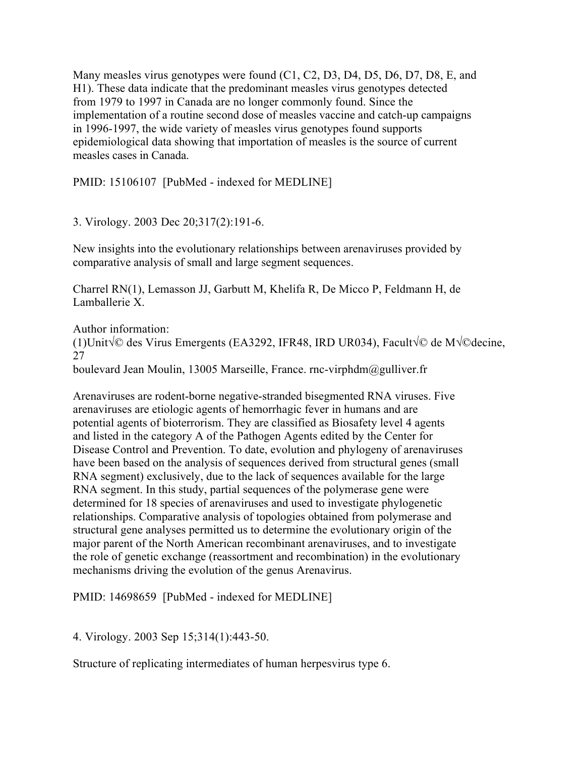Many measles virus genotypes were found (C1, C2, D3, D4, D5, D6, D7, D8, E, and H1). These data indicate that the predominant measles virus genotypes detected from 1979 to 1997 in Canada are no longer commonly found. Since the implementation of a routine second dose of measles vaccine and catch-up campaigns in 1996-1997, the wide variety of measles virus genotypes found supports epidemiological data showing that importation of measles is the source of current measles cases in Canada.

PMID: 15106107 [PubMed - indexed for MEDLINE]

3. Virology. 2003 Dec 20;317(2):191-6.

New insights into the evolutionary relationships between arenaviruses provided by comparative analysis of small and large segment sequences.

Charrel RN(1), Lemasson JJ, Garbutt M, Khelifa R, De Micco P, Feldmann H, de Lamballerie X.

Author information: (1)Unit $\sqrt{\circ}$  des Virus Emergents (EA3292, IFR48, IRD UR034), Facult $\sqrt{\circ}$  de M $\sqrt{\circ}$ decine, 27

boulevard Jean Moulin, 13005 Marseille, France. rnc-virphdm@gulliver.fr

Arenaviruses are rodent-borne negative-stranded bisegmented RNA viruses. Five arenaviruses are etiologic agents of hemorrhagic fever in humans and are potential agents of bioterrorism. They are classified as Biosafety level 4 agents and listed in the category A of the Pathogen Agents edited by the Center for Disease Control and Prevention. To date, evolution and phylogeny of arenaviruses have been based on the analysis of sequences derived from structural genes (small RNA segment) exclusively, due to the lack of sequences available for the large RNA segment. In this study, partial sequences of the polymerase gene were determined for 18 species of arenaviruses and used to investigate phylogenetic relationships. Comparative analysis of topologies obtained from polymerase and structural gene analyses permitted us to determine the evolutionary origin of the major parent of the North American recombinant arenaviruses, and to investigate the role of genetic exchange (reassortment and recombination) in the evolutionary mechanisms driving the evolution of the genus Arenavirus.

PMID: 14698659 [PubMed - indexed for MEDLINE]

4. Virology. 2003 Sep 15;314(1):443-50.

Structure of replicating intermediates of human herpesvirus type 6.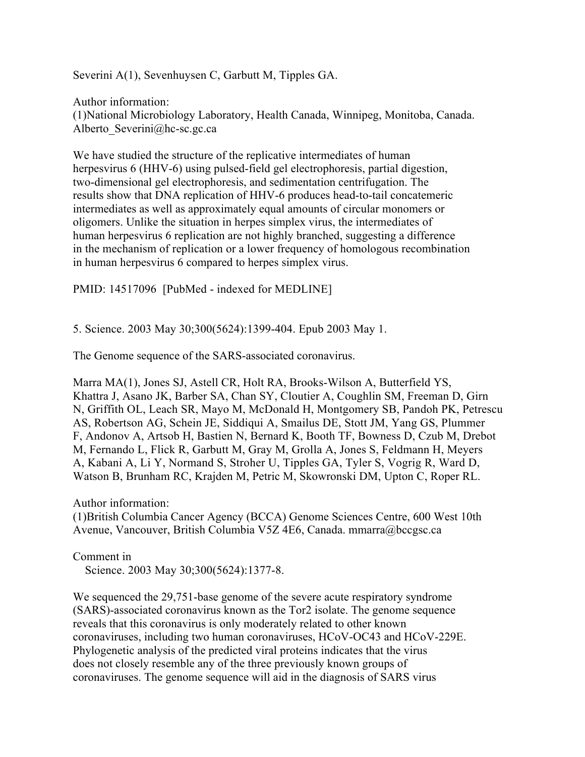Severini A(1), Sevenhuysen C, Garbutt M, Tipples GA.

Author information: (1)National Microbiology Laboratory, Health Canada, Winnipeg, Monitoba, Canada. Alberto Severini@hc-sc.gc.ca

We have studied the structure of the replicative intermediates of human herpesvirus 6 (HHV-6) using pulsed-field gel electrophoresis, partial digestion, two-dimensional gel electrophoresis, and sedimentation centrifugation. The results show that DNA replication of HHV-6 produces head-to-tail concatemeric intermediates as well as approximately equal amounts of circular monomers or oligomers. Unlike the situation in herpes simplex virus, the intermediates of human herpesvirus 6 replication are not highly branched, suggesting a difference in the mechanism of replication or a lower frequency of homologous recombination in human herpesvirus 6 compared to herpes simplex virus.

PMID: 14517096 [PubMed - indexed for MEDLINE]

5. Science. 2003 May 30;300(5624):1399-404. Epub 2003 May 1.

The Genome sequence of the SARS-associated coronavirus.

Marra MA(1), Jones SJ, Astell CR, Holt RA, Brooks-Wilson A, Butterfield YS, Khattra J, Asano JK, Barber SA, Chan SY, Cloutier A, Coughlin SM, Freeman D, Girn N, Griffith OL, Leach SR, Mayo M, McDonald H, Montgomery SB, Pandoh PK, Petrescu AS, Robertson AG, Schein JE, Siddiqui A, Smailus DE, Stott JM, Yang GS, Plummer F, Andonov A, Artsob H, Bastien N, Bernard K, Booth TF, Bowness D, Czub M, Drebot M, Fernando L, Flick R, Garbutt M, Gray M, Grolla A, Jones S, Feldmann H, Meyers A, Kabani A, Li Y, Normand S, Stroher U, Tipples GA, Tyler S, Vogrig R, Ward D, Watson B, Brunham RC, Krajden M, Petric M, Skowronski DM, Upton C, Roper RL.

Author information:

(1)British Columbia Cancer Agency (BCCA) Genome Sciences Centre, 600 West 10th Avenue, Vancouver, British Columbia V5Z 4E6, Canada. mmarra@bccgsc.ca

Comment in Science. 2003 May 30;300(5624):1377-8.

We sequenced the 29,751-base genome of the severe acute respiratory syndrome (SARS)-associated coronavirus known as the Tor2 isolate. The genome sequence reveals that this coronavirus is only moderately related to other known coronaviruses, including two human coronaviruses, HCoV-OC43 and HCoV-229E. Phylogenetic analysis of the predicted viral proteins indicates that the virus does not closely resemble any of the three previously known groups of coronaviruses. The genome sequence will aid in the diagnosis of SARS virus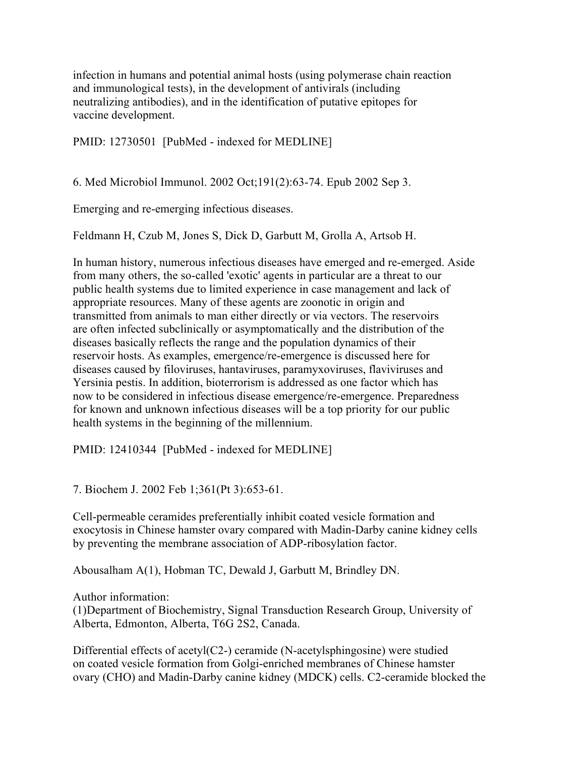infection in humans and potential animal hosts (using polymerase chain reaction and immunological tests), in the development of antivirals (including neutralizing antibodies), and in the identification of putative epitopes for vaccine development.

PMID: 12730501 [PubMed - indexed for MEDLINE]

6. Med Microbiol Immunol. 2002 Oct;191(2):63-74. Epub 2002 Sep 3.

Emerging and re-emerging infectious diseases.

Feldmann H, Czub M, Jones S, Dick D, Garbutt M, Grolla A, Artsob H.

In human history, numerous infectious diseases have emerged and re-emerged. Aside from many others, the so-called 'exotic' agents in particular are a threat to our public health systems due to limited experience in case management and lack of appropriate resources. Many of these agents are zoonotic in origin and transmitted from animals to man either directly or via vectors. The reservoirs are often infected subclinically or asymptomatically and the distribution of the diseases basically reflects the range and the population dynamics of their reservoir hosts. As examples, emergence/re-emergence is discussed here for diseases caused by filoviruses, hantaviruses, paramyxoviruses, flaviviruses and Yersinia pestis. In addition, bioterrorism is addressed as one factor which has now to be considered in infectious disease emergence/re-emergence. Preparedness for known and unknown infectious diseases will be a top priority for our public health systems in the beginning of the millennium.

PMID: 12410344 [PubMed - indexed for MEDLINE]

7. Biochem J. 2002 Feb 1;361(Pt 3):653-61.

Cell-permeable ceramides preferentially inhibit coated vesicle formation and exocytosis in Chinese hamster ovary compared with Madin-Darby canine kidney cells by preventing the membrane association of ADP-ribosylation factor.

Abousalham A(1), Hobman TC, Dewald J, Garbutt M, Brindley DN.

Author information:

(1)Department of Biochemistry, Signal Transduction Research Group, University of Alberta, Edmonton, Alberta, T6G 2S2, Canada.

Differential effects of acetyl(C2-) ceramide (N-acetylsphingosine) were studied on coated vesicle formation from Golgi-enriched membranes of Chinese hamster ovary (CHO) and Madin-Darby canine kidney (MDCK) cells. C2-ceramide blocked the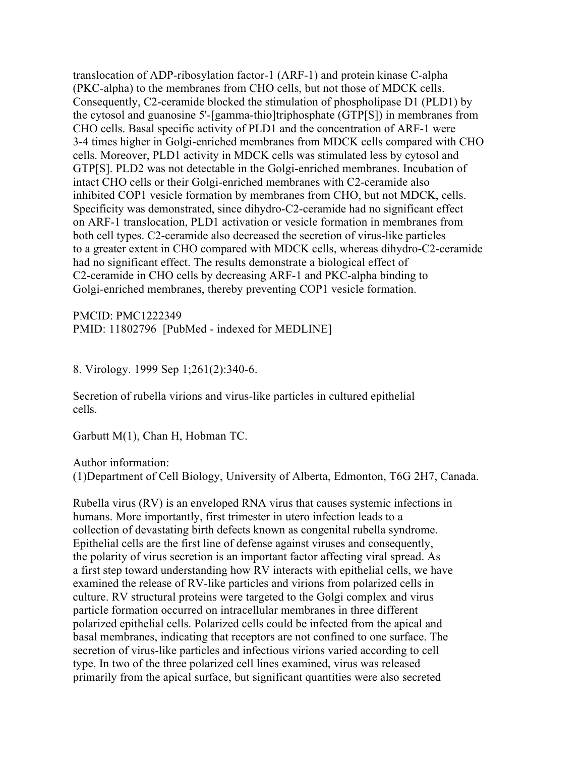translocation of ADP-ribosylation factor-1 (ARF-1) and protein kinase C-alpha (PKC-alpha) to the membranes from CHO cells, but not those of MDCK cells. Consequently, C2-ceramide blocked the stimulation of phospholipase D1 (PLD1) by the cytosol and guanosine 5'-[gamma-thio]triphosphate (GTP[S]) in membranes from CHO cells. Basal specific activity of PLD1 and the concentration of ARF-1 were 3-4 times higher in Golgi-enriched membranes from MDCK cells compared with CHO cells. Moreover, PLD1 activity in MDCK cells was stimulated less by cytosol and GTP[S]. PLD2 was not detectable in the Golgi-enriched membranes. Incubation of intact CHO cells or their Golgi-enriched membranes with C2-ceramide also inhibited COP1 vesicle formation by membranes from CHO, but not MDCK, cells. Specificity was demonstrated, since dihydro-C2-ceramide had no significant effect on ARF-1 translocation, PLD1 activation or vesicle formation in membranes from both cell types. C2-ceramide also decreased the secretion of virus-like particles to a greater extent in CHO compared with MDCK cells, whereas dihydro-C2-ceramide had no significant effect. The results demonstrate a biological effect of C2-ceramide in CHO cells by decreasing ARF-1 and PKC-alpha binding to Golgi-enriched membranes, thereby preventing COP1 vesicle formation.

PMCID: PMC1222349 PMID: 11802796 [PubMed - indexed for MEDLINE]

8. Virology. 1999 Sep 1;261(2):340-6.

Secretion of rubella virions and virus-like particles in cultured epithelial cells.

Garbutt M(1), Chan H, Hobman TC.

Author information:

(1)Department of Cell Biology, University of Alberta, Edmonton, T6G 2H7, Canada.

Rubella virus (RV) is an enveloped RNA virus that causes systemic infections in humans. More importantly, first trimester in utero infection leads to a collection of devastating birth defects known as congenital rubella syndrome. Epithelial cells are the first line of defense against viruses and consequently, the polarity of virus secretion is an important factor affecting viral spread. As a first step toward understanding how RV interacts with epithelial cells, we have examined the release of RV-like particles and virions from polarized cells in culture. RV structural proteins were targeted to the Golgi complex and virus particle formation occurred on intracellular membranes in three different polarized epithelial cells. Polarized cells could be infected from the apical and basal membranes, indicating that receptors are not confined to one surface. The secretion of virus-like particles and infectious virions varied according to cell type. In two of the three polarized cell lines examined, virus was released primarily from the apical surface, but significant quantities were also secreted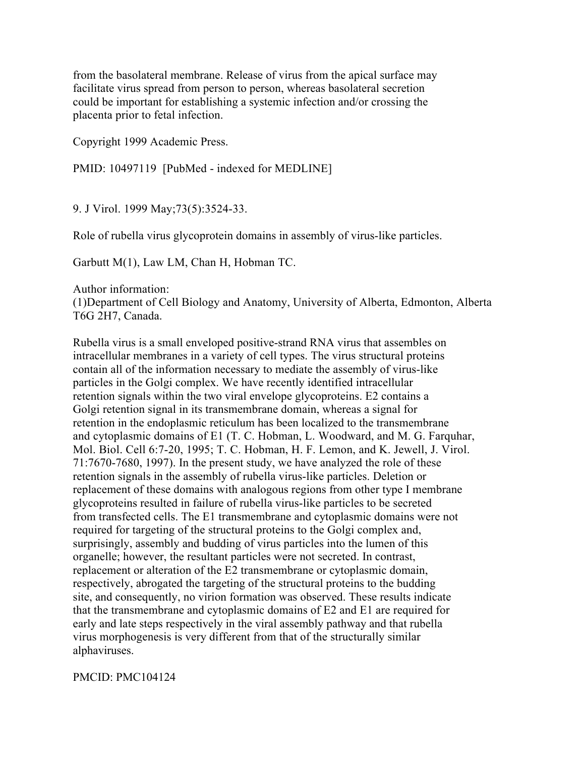from the basolateral membrane. Release of virus from the apical surface may facilitate virus spread from person to person, whereas basolateral secretion could be important for establishing a systemic infection and/or crossing the placenta prior to fetal infection.

Copyright 1999 Academic Press.

PMID: 10497119 [PubMed - indexed for MEDLINE]

9. J Virol. 1999 May;73(5):3524-33.

Role of rubella virus glycoprotein domains in assembly of virus-like particles.

Garbutt M(1), Law LM, Chan H, Hobman TC.

Author information:

(1)Department of Cell Biology and Anatomy, University of Alberta, Edmonton, Alberta T6G 2H7, Canada.

Rubella virus is a small enveloped positive-strand RNA virus that assembles on intracellular membranes in a variety of cell types. The virus structural proteins contain all of the information necessary to mediate the assembly of virus-like particles in the Golgi complex. We have recently identified intracellular retention signals within the two viral envelope glycoproteins. E2 contains a Golgi retention signal in its transmembrane domain, whereas a signal for retention in the endoplasmic reticulum has been localized to the transmembrane and cytoplasmic domains of E1 (T. C. Hobman, L. Woodward, and M. G. Farquhar, Mol. Biol. Cell 6:7-20, 1995; T. C. Hobman, H. F. Lemon, and K. Jewell, J. Virol. 71:7670-7680, 1997). In the present study, we have analyzed the role of these retention signals in the assembly of rubella virus-like particles. Deletion or replacement of these domains with analogous regions from other type I membrane glycoproteins resulted in failure of rubella virus-like particles to be secreted from transfected cells. The E1 transmembrane and cytoplasmic domains were not required for targeting of the structural proteins to the Golgi complex and, surprisingly, assembly and budding of virus particles into the lumen of this organelle; however, the resultant particles were not secreted. In contrast, replacement or alteration of the E2 transmembrane or cytoplasmic domain, respectively, abrogated the targeting of the structural proteins to the budding site, and consequently, no virion formation was observed. These results indicate that the transmembrane and cytoplasmic domains of E2 and E1 are required for early and late steps respectively in the viral assembly pathway and that rubella virus morphogenesis is very different from that of the structurally similar alphaviruses.

## PMCID: PMC104124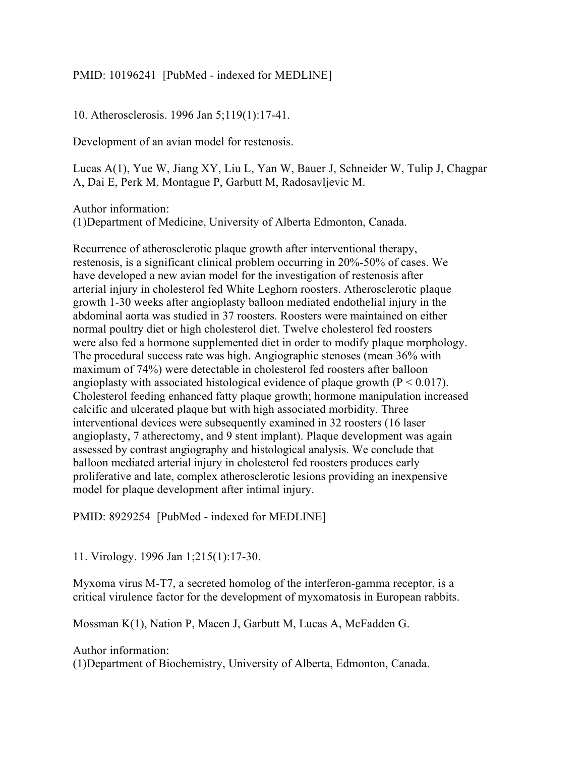## PMID: 10196241 [PubMed - indexed for MEDLINE]

10. Atherosclerosis. 1996 Jan 5;119(1):17-41.

Development of an avian model for restenosis.

Lucas A(1), Yue W, Jiang XY, Liu L, Yan W, Bauer J, Schneider W, Tulip J, Chagpar A, Dai E, Perk M, Montague P, Garbutt M, Radosavljevic M.

Author information:

(1)Department of Medicine, University of Alberta Edmonton, Canada.

Recurrence of atherosclerotic plaque growth after interventional therapy, restenosis, is a significant clinical problem occurring in 20%-50% of cases. We have developed a new avian model for the investigation of restenosis after arterial injury in cholesterol fed White Leghorn roosters. Atherosclerotic plaque growth 1-30 weeks after angioplasty balloon mediated endothelial injury in the abdominal aorta was studied in 37 roosters. Roosters were maintained on either normal poultry diet or high cholesterol diet. Twelve cholesterol fed roosters were also fed a hormone supplemented diet in order to modify plaque morphology. The procedural success rate was high. Angiographic stenoses (mean 36% with maximum of 74%) were detectable in cholesterol fed roosters after balloon angioplasty with associated histological evidence of plaque growth  $(P < 0.017)$ . Cholesterol feeding enhanced fatty plaque growth; hormone manipulation increased calcific and ulcerated plaque but with high associated morbidity. Three interventional devices were subsequently examined in 32 roosters (16 laser angioplasty, 7 atherectomy, and 9 stent implant). Plaque development was again assessed by contrast angiography and histological analysis. We conclude that balloon mediated arterial injury in cholesterol fed roosters produces early proliferative and late, complex atherosclerotic lesions providing an inexpensive model for plaque development after intimal injury.

PMID: 8929254 [PubMed - indexed for MEDLINE]

11. Virology. 1996 Jan 1;215(1):17-30.

Myxoma virus M-T7, a secreted homolog of the interferon-gamma receptor, is a critical virulence factor for the development of myxomatosis in European rabbits.

Mossman K(1), Nation P, Macen J, Garbutt M, Lucas A, McFadden G.

Author information:

(1)Department of Biochemistry, University of Alberta, Edmonton, Canada.